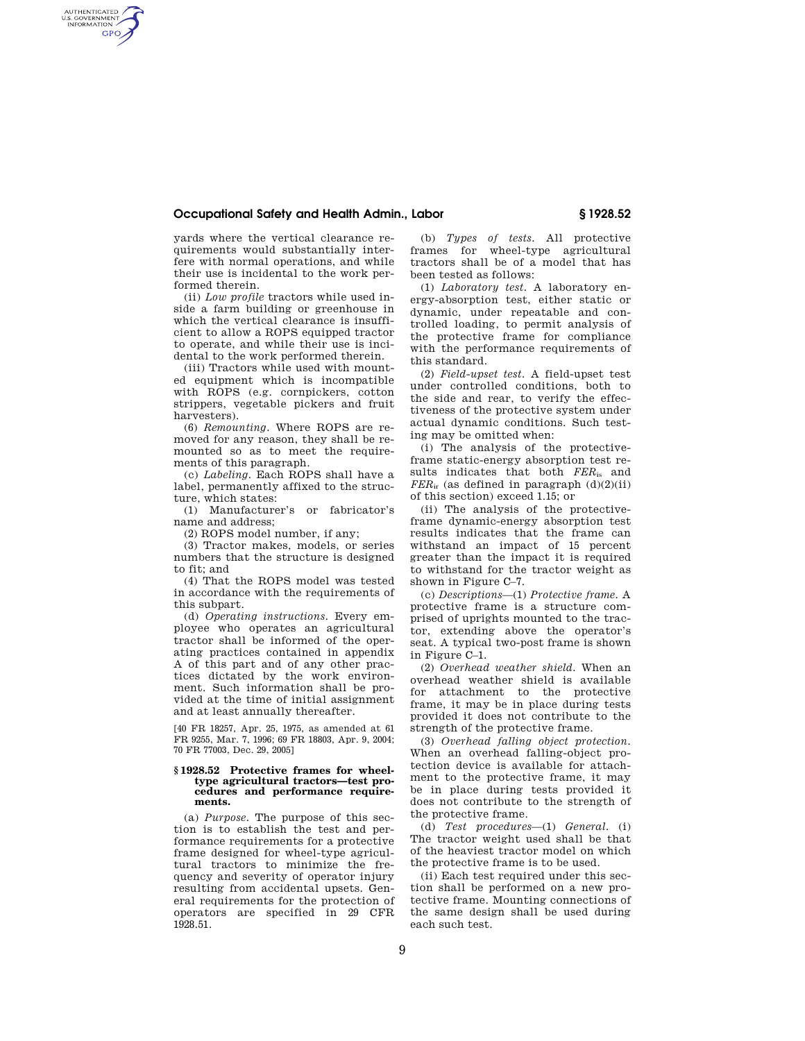# **Occupational Safety and Health Admin., Labor § 1928.52**

yards where the vertical clearance requirements would substantially interfere with normal operations, and while their use is incidental to the work performed therein.

AUTHENTICATED<br>U.S. GOVERNMENT<br>INFORMATION **GPO** 

> (ii) *Low profile* tractors while used inside a farm building or greenhouse in which the vertical clearance is insufficient to allow a ROPS equipped tractor to operate, and while their use is incidental to the work performed therein.

> (iii) Tractors while used with mounted equipment which is incompatible with ROPS (e.g. cornpickers, cotton strippers, vegetable pickers and fruit harvesters).

> (6) *Remounting.* Where ROPS are removed for any reason, they shall be remounted so as to meet the requirements of this paragraph.

> (c) *Labeling.* Each ROPS shall have a label, permanently affixed to the structure, which states:

> (1) Manufacturer's or fabricator's name and address;

(2) ROPS model number, if any;

(3) Tractor makes, models, or series numbers that the structure is designed to fit; and

(4) That the ROPS model was tested in accordance with the requirements of this subpart.

(d) *Operating instructions.* Every employee who operates an agricultural tractor shall be informed of the operating practices contained in appendix A of this part and of any other practices dictated by the work environment. Such information shall be provided at the time of initial assignment and at least annually thereafter.

[40 FR 18257, Apr. 25, 1975, as amended at 61 FR 9255, Mar. 7, 1996; 69 FR 18803, Apr. 9, 2004; 70 FR 77003, Dec. 29, 2005]

### **§ 1928.52 Protective frames for wheeltype agricultural tractors—test procedures and performance requirements.**

(a) *Purpose.* The purpose of this section is to establish the test and performance requirements for a protective frame designed for wheel-type agricultural tractors to minimize the frequency and severity of operator injury resulting from accidental upsets. General requirements for the protection of operators are specified in 29 CFR 1928.51.

(b) *Types of tests.* All protective frames for wheel-type agricultural tractors shall be of a model that has been tested as follows:

(1) *Laboratory test.* A laboratory energy-absorption test, either static or dynamic, under repeatable and controlled loading, to permit analysis of the protective frame for compliance with the performance requirements of this standard.

(2) *Field-upset test.* A field-upset test under controlled conditions, both to the side and rear, to verify the effectiveness of the protective system under actual dynamic conditions. Such testing may be omitted when:

(i) The analysis of the protectiveframe static-energy absorption test results indicates that both  $FER_{is}$  and  $FER_{ir}$  (as defined in paragraph  $(d)(2)(ii)$ of this section) exceed 1.15; or

(ii) The analysis of the protectiveframe dynamic-energy absorption test results indicates that the frame can withstand an impact of 15 percent greater than the impact it is required to withstand for the tractor weight as shown in Figure C–7.

(c) *Descriptions*—(1) *Protective frame.* A protective frame is a structure comprised of uprights mounted to the tractor, extending above the operator's seat. A typical two-post frame is shown in Figure C–1.

(2) *Overhead weather shield.* When an overhead weather shield is available for attachment to the protective frame, it may be in place during tests provided it does not contribute to the strength of the protective frame.

(3) *Overhead falling object protection.*  When an overhead falling-object protection device is available for attachment to the protective frame, it may be in place during tests provided it does not contribute to the strength of the protective frame.

(d) *Test procedures*—(1) *General.* (i) The tractor weight used shall be that of the heaviest tractor model on which the protective frame is to be used.

(ii) Each test required under this section shall be performed on a new protective frame. Mounting connections of the same design shall be used during each such test.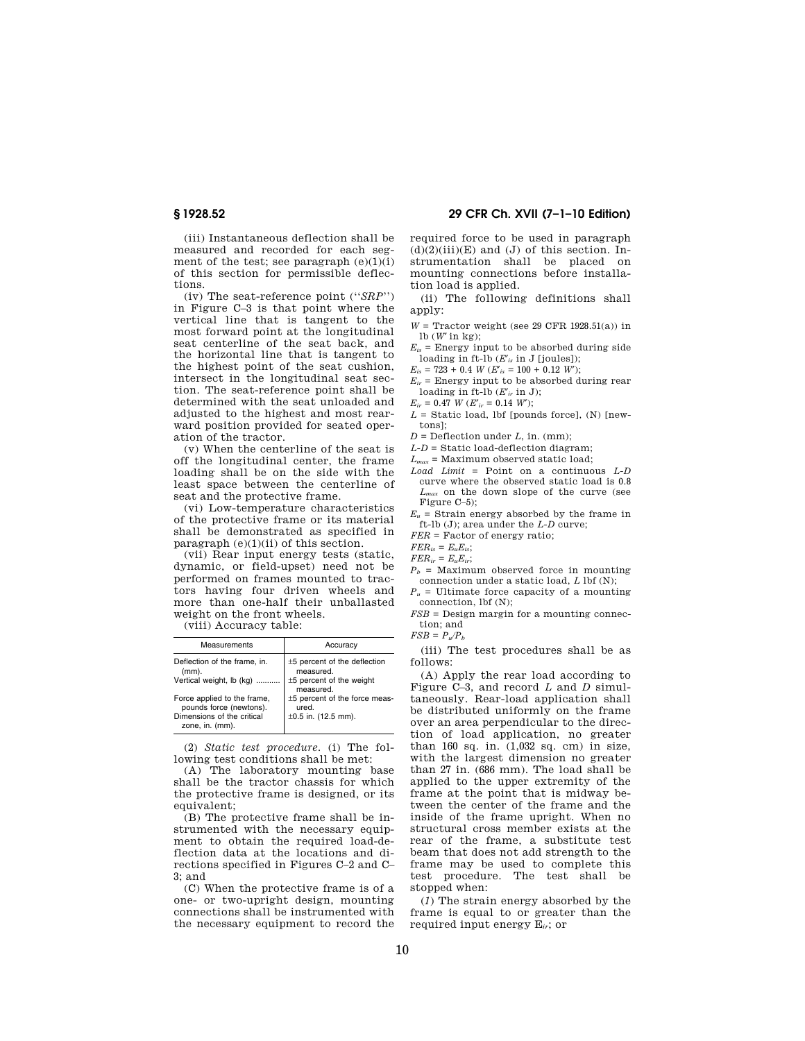(iii) Instantaneous deflection shall be measured and recorded for each segment of the test; see paragraph  $(e)(1)(i)$ of this section for permissible deflec-

tions. (iv) The seat-reference point (''*SRP*'') in Figure C–3 is that point where the vertical line that is tangent to the most forward point at the longitudinal seat centerline of the seat back, and the horizontal line that is tangent to the highest point of the seat cushion, intersect in the longitudinal seat section. The seat-reference point shall be determined with the seat unloaded and adjusted to the highest and most rearward position provided for seated operation of the tractor.

(v) When the centerline of the seat is off the longitudinal center, the frame loading shall be on the side with the least space between the centerline of seat and the protective frame.

(vi) Low-temperature characteristics of the protective frame or its material shall be demonstrated as specified in paragraph  $(e)(1)(ii)$  of this section.

(vii) Rear input energy tests (static, dynamic, or field-upset) need not be performed on frames mounted to tractors having four driven wheels and more than one-half their unballasted weight on the front wheels.

(viii) Accuracy table:

| Measurements                                           | Accuracy                                    |
|--------------------------------------------------------|---------------------------------------------|
| Deflection of the frame, in.<br>$(mm)$ .               | $±5$ percent of the deflection<br>measured. |
| Vertical weight, lb (kg)                               | $±5$ percent of the weight<br>measured.     |
| Force applied to the frame,<br>pounds force (newtons). | $±5$ percent of the force meas-<br>ured.    |
| Dimensions of the critical<br>zone, in. (mm).          | $\pm 0.5$ in. (12.5 mm).                    |

(2) *Static test procedure.* (i) The following test conditions shall be met:

(A) The laboratory mounting base shall be the tractor chassis for which the protective frame is designed, or its equivalent;

(B) The protective frame shall be instrumented with the necessary equipment to obtain the required load-deflection data at the locations and directions specified in Figures C–2 and C– 3; and

(C) When the protective frame is of a one- or two-upright design, mounting connections shall be instrumented with the necessary equipment to record the

**§ 1928.52 29 CFR Ch. XVII (7–1–10 Edition)** 

required force to be used in paragraph  $(d)(2)(iii)(E)$  and  $(J)$  of this section. Instrumentation shall be placed on mounting connections before installation load is applied.

(ii) The following definitions shall apply:

- $W =$  Tractor weight (see 29 CFR 1928.51(a)) in lb (*W*′ in kg);
- $E_{is}$  = Energy input to be absorbed during side
- loading in ft-lb  $(E'_i$  in J [joules]);
- $E_{is} = 723 + 0.4$  *W*  $(E'_{is} = 100 + 0.12$  *W*);
- $E_{ir}$  = Energy input to be absorbed during rear loading in ft-lb (*E*′*ir* in J);
- $E_{ir} = 0.47$  *W*  $(E'_{ir} = 0.14$  *W*);
- $L =$  Static load, lbf [pounds force], (N) [newtons];
- $D =$  Deflection under  $L$ , in. (mm);
- *L-D* = Static load-deflection diagram;
- *Lmax* = Maximum observed static load;
- *Load Limit* = Point on a continuous *L-D*  curve where the observed static load is 0.8 *Lmax* on the down slope of the curve (see Figure C–5);
- $E_u$  = Strain energy absorbed by the frame in ft-lb (J); area under the *L-D* curve;

*FER* = Factor of energy ratio;

 $FER_{is} = E_uE_{is}$ ;

 $FER_{ir} = E_uE_{ir};$ 

 $P_b$  = Maximum observed force in mounting connection under a static load, *L* lbf (N);

 $P_u$  = Ultimate force capacity of a mounting

connection, lbf (N); *FSB* = Design margin for a mounting connec-

tion; and  $FSB = P<sub>u</sub>/P<sub>b</sub>$ 

(iii) The test procedures shall be as follows:

(A) Apply the rear load according to Figure C–3, and record *L* and *D* simultaneously. Rear-load application shall be distributed uniformly on the frame over an area perpendicular to the direction of load application, no greater than 160 sq. in. (1,032 sq. cm) in size, with the largest dimension no greater than 27 in. (686 mm). The load shall be applied to the upper extremity of the frame at the point that is midway between the center of the frame and the inside of the frame upright. When no structural cross member exists at the rear of the frame, a substitute test beam that does not add strength to the frame may be used to complete this test procedure. The test shall be stopped when:

(*1*) The strain energy absorbed by the frame is equal to or greater than the required input energy E*ir*; or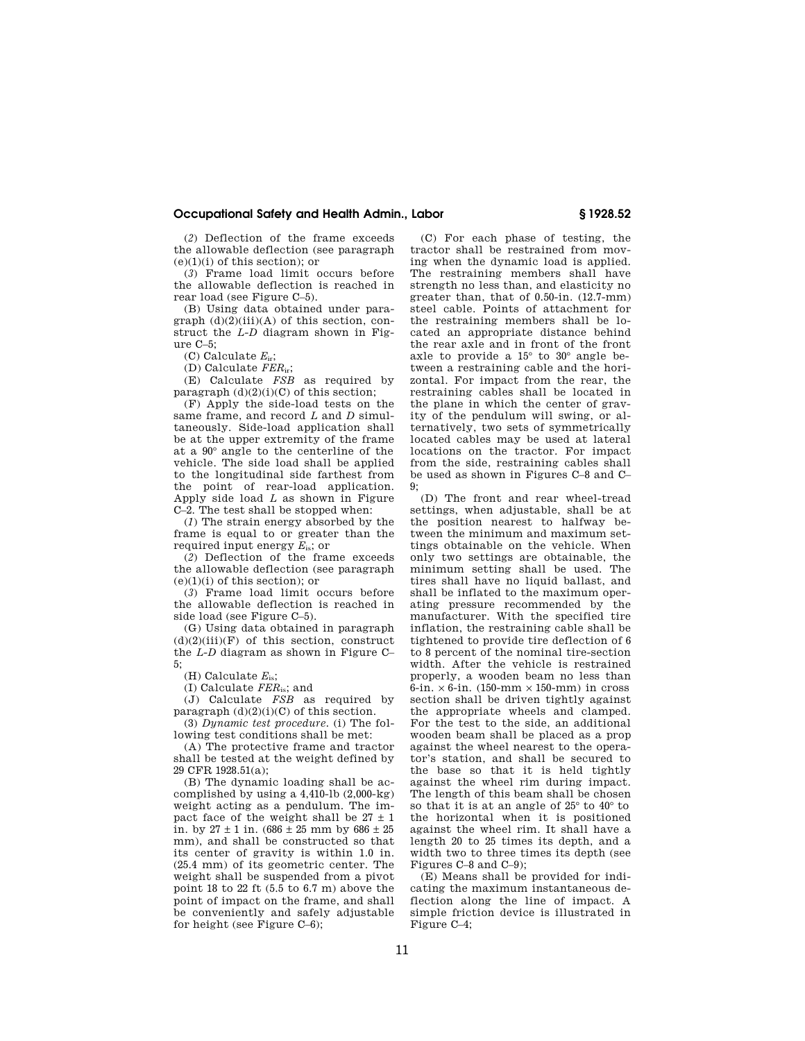## **Occupational Safety and Health Admin., Labor § 1928.52**

(*2*) Deflection of the frame exceeds the allowable deflection (see paragraph (e)(1)(i) of this section); or

(*3*) Frame load limit occurs before the allowable deflection is reached in rear load (see Figure C–5).

(B) Using data obtained under paragraph  $(d)(2)(iii)(A)$  of this section, construct the *L-D* diagram shown in Figure C–5;

(C) Calculate *E*ir;

(D) Calculate *FER*ir;

(E) Calculate *FSB* as required by paragraph  $(d)(2)(i)(C)$  of this section;

(F) Apply the side-load tests on the same frame, and record *L* and *D* simultaneously. Side-load application shall be at the upper extremity of the frame at a 90° angle to the centerline of the vehicle. The side load shall be applied to the longitudinal side farthest from the point of rear-load application. Apply side load *L* as shown in Figure C–2. The test shall be stopped when:

(*1*) The strain energy absorbed by the frame is equal to or greater than the required input energy *E*is; or

(*2*) Deflection of the frame exceeds the allowable deflection (see paragraph (e)(1)(i) of this section); or

(*3*) Frame load limit occurs before the allowable deflection is reached in side load (see Figure C–5).

(G) Using data obtained in paragraph  $(d)(2)(iii)(\overline{F})$  of this section, construct the *L-D* diagram as shown in Figure C–  $5$ 

(H) Calculate *E*is;

(I) Calculate *FER*is; and

(J) Calculate *FSB* as required by paragraph  $(d)(2)(i)(C)$  of this section.

(3) *Dynamic test procedure.* (i) The following test conditions shall be met:

(A) The protective frame and tractor shall be tested at the weight defined by 29 CFR 1928.51(a);

(B) The dynamic loading shall be accomplished by using a 4,410-lb (2,000-kg) weight acting as a pendulum. The impact face of the weight shall be  $27 \pm 1$ in. by  $27 \pm 1$  in.  $(686 \pm 25$  mm by  $686 \pm 25$ mm), and shall be constructed so that its center of gravity is within 1.0 in. (25.4 mm) of its geometric center. The weight shall be suspended from a pivot point 18 to 22 ft (5.5 to 6.7 m) above the point of impact on the frame, and shall be conveniently and safely adjustable for height (see Figure C–6);

(C) For each phase of testing, the tractor shall be restrained from moving when the dynamic load is applied. The restraining members shall have strength no less than, and elasticity no greater than, that of 0.50-in. (12.7-mm) steel cable. Points of attachment for the restraining members shall be located an appropriate distance behind the rear axle and in front of the front axle to provide a 15° to 30° angle between a restraining cable and the horizontal. For impact from the rear, the restraining cables shall be located in the plane in which the center of gravity of the pendulum will swing, or alternatively, two sets of symmetrically located cables may be used at lateral locations on the tractor. For impact from the side, restraining cables shall be used as shown in Figures C–8 and C–  $\mathbf{g}$ 

(D) The front and rear wheel-tread settings, when adjustable, shall be at the position nearest to halfway between the minimum and maximum settings obtainable on the vehicle. When only two settings are obtainable, the minimum setting shall be used. The tires shall have no liquid ballast, and shall be inflated to the maximum operating pressure recommended by the manufacturer. With the specified tire inflation, the restraining cable shall be tightened to provide tire deflection of 6 to 8 percent of the nominal tire-section width. After the vehicle is restrained properly, a wooden beam no less than  $6\text{-}in. \times 6\text{-}in.$  (150-mm  $\times$  150-mm) in cross section shall be driven tightly against the appropriate wheels and clamped. For the test to the side, an additional wooden beam shall be placed as a prop against the wheel nearest to the operator's station, and shall be secured to the base so that it is held tightly against the wheel rim during impact. The length of this beam shall be chosen so that it is at an angle of 25° to 40° to the horizontal when it is positioned against the wheel rim. It shall have a length 20 to 25 times its depth, and a width two to three times its depth (see Figures C–8 and C–9);

(E) Means shall be provided for indicating the maximum instantaneous deflection along the line of impact. A simple friction device is illustrated in Figure  $C-4$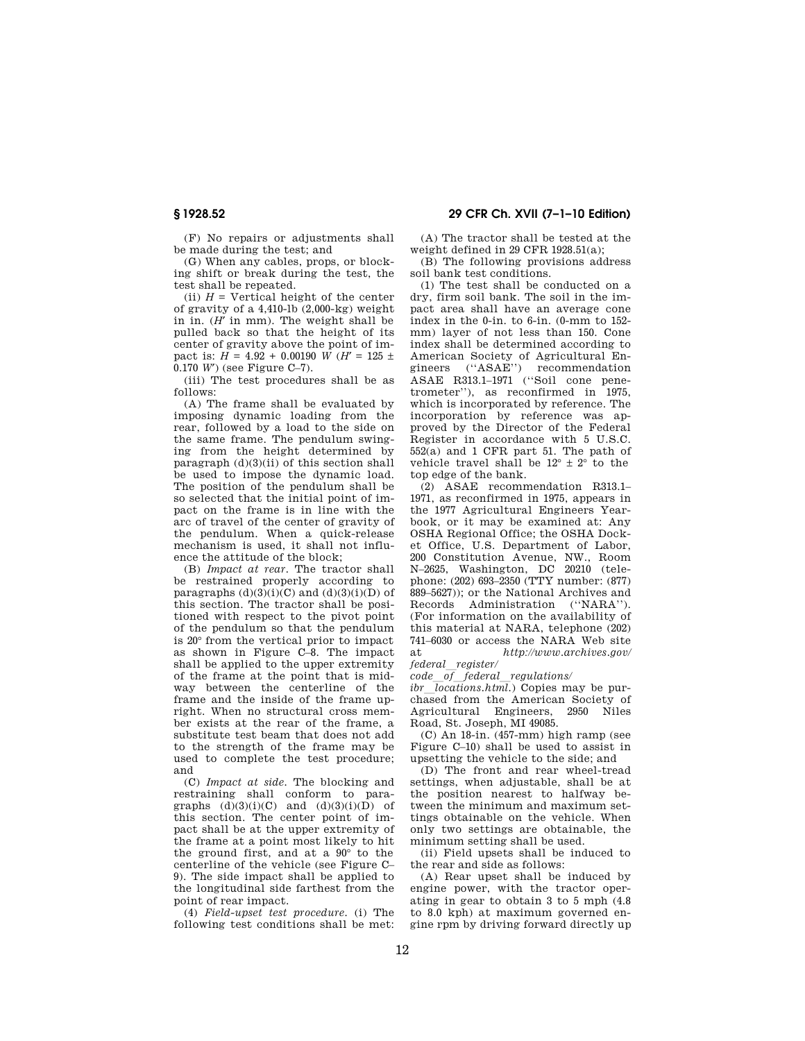(F) No repairs or adjustments shall be made during the test; and

(G) When any cables, props, or blocking shift or break during the test, the test shall be repeated.

(ii)  $H =$  Vertical height of the center of gravity of a 4,410-lb (2,000-kg) weight in in. (*H*′ in mm). The weight shall be pulled back so that the height of its center of gravity above the point of impact is:  $H = 4.92 + 0.00190$  *W* (*H*<sup> $\prime$ </sup> = 125 ± 0.170 *W*′) (see Figure C–7).

(iii) The test procedures shall be as follows:

(A) The frame shall be evaluated by imposing dynamic loading from the rear, followed by a load to the side on the same frame. The pendulum swinging from the height determined by paragraph  $(d)(3)(ii)$  of this section shall be used to impose the dynamic load. The position of the pendulum shall be so selected that the initial point of impact on the frame is in line with the arc of travel of the center of gravity of the pendulum. When a quick-release mechanism is used, it shall not influence the attitude of the block;

(B) *Impact at rear.* The tractor shall be restrained properly according to paragraphs  $(d)(3)(i)(C)$  and  $(d)(3)(i)(D)$  of this section. The tractor shall be positioned with respect to the pivot point of the pendulum so that the pendulum is 20° from the vertical prior to impact as shown in Figure C–8. The impact shall be applied to the upper extremity of the frame at the point that is midway between the centerline of the frame and the inside of the frame upright. When no structural cross member exists at the rear of the frame, a substitute test beam that does not add to the strength of the frame may be used to complete the test procedure; and

(C) *Impact at side.* The blocking and restraining shall conform to paragraphs  $(d)(3)(i)(C)$  and  $(d)(3)(i)(D)$  of this section. The center point of impact shall be at the upper extremity of the frame at a point most likely to hit the ground first, and at a 90° to the centerline of the vehicle (see Figure C– 9). The side impact shall be applied to the longitudinal side farthest from the point of rear impact.

(4) *Field-upset test procedure.* (i) The following test conditions shall be met:

# **§ 1928.52 29 CFR Ch. XVII (7–1–10 Edition)**

(A) The tractor shall be tested at the weight defined in 29 CFR 1928.51(a);

(B) The following provisions address soil bank test conditions.

(1) The test shall be conducted on a dry, firm soil bank. The soil in the impact area shall have an average cone index in the 0-in. to 6-in. (0-mm to 152 mm) layer of not less than 150. Cone index shall be determined according to American Society of Agricultural Engineers (''ASAE'') recommendation ASAE R313.1–1971 (''Soil cone penetrometer''), as reconfirmed in 1975, which is incorporated by reference. The incorporation by reference was approved by the Director of the Federal Register in accordance with 5 U.S.C. 552(a) and 1 CFR part 51. The path of vehicle travel shall be  $12^{\circ} \pm 2^{\circ}$  to the top edge of the bank.

(2) ASAE recommendation R313.1– 1971, as reconfirmed in 1975, appears in the 1977 Agricultural Engineers Yearbook, or it may be examined at: Any OSHA Regional Office; the OSHA Docket Office, U.S. Department of Labor, 200 Constitution Avenue, NW., Room N–2625, Washington, DC 20210 (telephone:  $(202) 693-2350$  (TTY number:  $(877)$ ) 889–5627)); or the National Archives and Records Administration (''NARA''). (For information on the availability of this material at NARA, telephone (202) 741–6030 or access the NARA Web site at *http://www.archives.gov/ federal*l*register/* 

*code*l*of*l*federal*l*regulations/* 

*ibr*  $\overline{locations.html}$ . Copies may be purchased from the American Society of<br>Agricultural Engineers, 2950 Niles Agricultural Engineers, Road, St. Joseph, MI 49085.

(C) An 18-in. (457-mm) high ramp (see Figure C–10) shall be used to assist in upsetting the vehicle to the side; and

(D) The front and rear wheel-tread settings, when adjustable, shall be at the position nearest to halfway between the minimum and maximum settings obtainable on the vehicle. When only two settings are obtainable, the minimum setting shall be used.

(ii) Field upsets shall be induced to the rear and side as follows:

(A) Rear upset shall be induced by engine power, with the tractor operating in gear to obtain 3 to 5 mph (4.8 to 8.0 kph) at maximum governed engine rpm by driving forward directly up